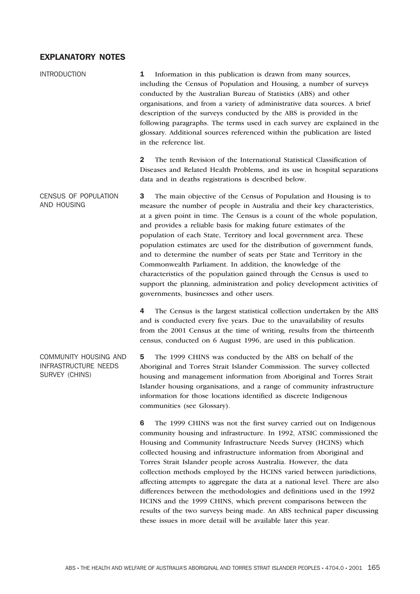## EXPLANATORY NOTES

 $I$  Information in this publication is drawn from many sources, including the Census of Population and Housing, a number of surveys conducted by the Australian Bureau of Statistics (ABS) and other organisations, and from a variety of administrative data sources. A brief description of the surveys conducted by the ABS is provided in the following paragraphs. The terms used in each survey are explained in the glossary. Additional sources referenced within the publication are listed in the reference list. 2 The tenth Revision of the International Statistical Classification of Diseases and Related Health Problems, and its use in hospital separations data and in deaths registrations is described below. CENSUS OF POPULATION AND HOUSING 3 The main objective of the Census of Population and Housing is to measure the number of people in Australia and their key characteristics, at a given point in time. The Census is a count of the whole population, and provides a reliable basis for making future estimates of the population of each State, Territory and local government area. These population estimates are used for the distribution of government funds, and to determine the number of seats per State and Territory in the Commonwealth Parliament. In addition, the knowledge of the characteristics of the population gained through the Census is used to support the planning, administration and policy development activities of governments, businesses and other users. 4 The Census is the largest statistical collection undertaken by the ABS and is conducted every five years. Due to the unavailability of results from the 2001 Census at the time of writing, results from the thirteenth census, conducted on 6 August 1996, are used in this publication. COMMUNITY HOUSING AND INFRASTRUCTURE NEEDS SURVEY (CHINS) 5 The 1999 CHINS was conducted by the ABS on behalf of the Aboriginal and Torres Strait Islander Commission. The survey collected housing and management information from Aboriginal and Torres Strait Islander housing organisations, and a range of community infrastructure information for those locations identified as discrete Indigenous communities (see Glossary). 6 The 1999 CHINS was not the first survey carried out on Indigenous community housing and infrastructure. In 1992, ATSIC commissioned the Housing and Community Infrastructure Needs Survey (HCINS) which collected housing and infrastructure information from Aboriginal and Torres Strait Islander people across Australia. However, the data collection methods employed by the HCINS varied between jurisdictions, affecting attempts to aggregate the data at a national level. There are also differences between the methodologies and definitions used in the 1992 HCINS and the 1999 CHINS, which prevent comparisons between the results of the two surveys being made. An ABS technical paper discussing these issues in more detail will be available later this year.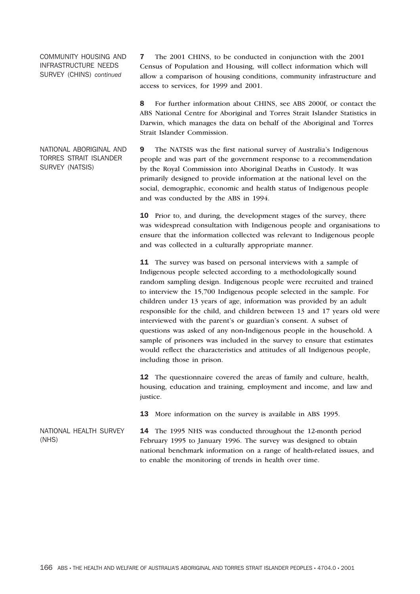COMMUNITY HOUSING AND INFRASTRUCTURE NEEDS SURVEY (CHINS) *continued*

> Darwin, which manages the data on behalf of the Aboriginal and Torres Strait Islander Commission.

access to services, for 1999 and 2001.

NATIONAL ABORIGINAL AND TORRES STRAIT ISLANDER SURVEY (NATSIS)

9 The NATSIS was the first national survey of Australia's Indigenous people and was part of the government response to a recommendation by the Royal Commission into Aboriginal Deaths in Custody. It was primarily designed to provide information at the national level on the social, demographic, economic and health status of Indigenous people and was conducted by the ABS in 1994.

7 The 2001 CHINS, to be conducted in conjunction with the 2001 Census of Population and Housing, will collect information which will allow a comparison of housing conditions, community infrastructure and

8 For further information about CHINS, see ABS 2000f, or contact the ABS National Centre for Aboriginal and Torres Strait Islander Statistics in

10 Prior to, and during, the development stages of the survey, there was widespread consultation with Indigenous people and organisations to ensure that the information collected was relevant to Indigenous people and was collected in a culturally appropriate manner.

**11** The survey was based on personal interviews with a sample of Indigenous people selected according to a methodologically sound random sampling design. Indigenous people were recruited and trained to interview the 15,700 Indigenous people selected in the sample. For children under 13 years of age, information was provided by an adult responsible for the child, and children between 13 and 17 years old were interviewed with the parent's or guardian's consent. A subset of questions was asked of any non-Indigenous people in the household. A sample of prisoners was included in the survey to ensure that estimates would reflect the characteristics and attitudes of all Indigenous people, including those in prison.

12 The questionnaire covered the areas of family and culture, health, housing, education and training, employment and income, and law and justice.

13 More information on the survey is available in ABS 1995.

NATIONAL HEALTH SURVEY (NHS) 14 The 1995 NHS was conducted throughout the 12-month period February 1995 to January 1996. The survey was designed to obtain national benchmark information on a range of health-related issues, and to enable the monitoring of trends in health over time.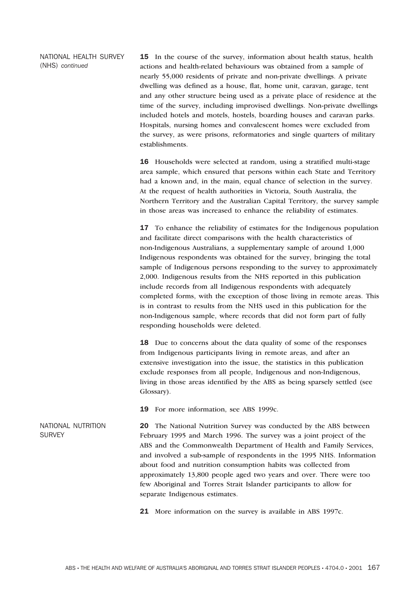NATIONAL HEALTH SURVEY (NHS) *continued*

15 In the course of the survey, information about health status, health actions and health-related behaviours was obtained from a sample of nearly 55,000 residents of private and non-private dwellings. A private dwelling was defined as a house, flat, home unit, caravan, garage, tent and any other structure being used as a private place of residence at the time of the survey, including improvised dwellings. Non-private dwellings included hotels and motels, hostels, boarding houses and caravan parks. Hospitals, nursing homes and convalescent homes were excluded from the survey, as were prisons, reformatories and single quarters of military establishments.

16 Households were selected at random, using a stratified multi-stage area sample, which ensured that persons within each State and Territory had a known and, in the main, equal chance of selection in the survey. At the request of health authorities in Victoria, South Australia, the Northern Territory and the Australian Capital Territory, the survey sample in those areas was increased to enhance the reliability of estimates.

17 To enhance the reliability of estimates for the Indigenous population and facilitate direct comparisons with the health characteristics of non-Indigenous Australians, a supplementary sample of around 1,000 Indigenous respondents was obtained for the survey, bringing the total sample of Indigenous persons responding to the survey to approximately 2,000. Indigenous results from the NHS reported in this publication include records from all Indigenous respondents with adequately completed forms, with the exception of those living in remote areas. This is in contrast to results from the NHS used in this publication for the non-Indigenous sample, where records that did not form part of fully responding households were deleted.

18 Due to concerns about the data quality of some of the responses from Indigenous participants living in remote areas, and after an extensive investigation into the issue, the statistics in this publication exclude responses from all people, Indigenous and non-Indigenous, living in those areas identified by the ABS as being sparsely settled (see Glossary).

19 For more information, see ABS 1999c.

NATIONAL NUTRITION 20 The National Nutrition Survey was conducted by the ABS between February 1995 and March 1996. The survey was a joint project of the ABS and the Commonwealth Department of Health and Family Services, and involved a sub-sample of respondents in the 1995 NHS. Information about food and nutrition consumption habits was collected from approximately 13,800 people aged two years and over. There were too few Aboriginal and Torres Strait Islander participants to allow for separate Indigenous estimates.

21 More information on the survey is available in ABS 1997c.

**SURVEY**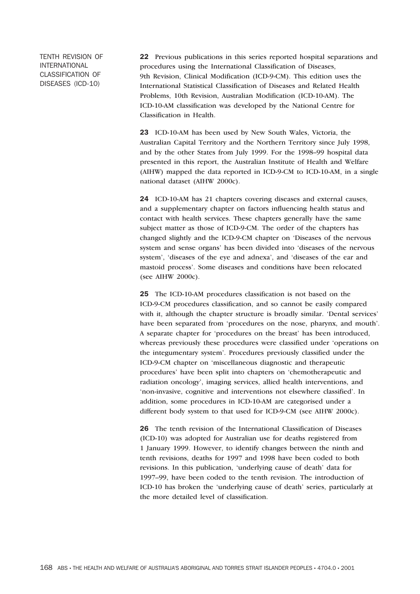TENTH REVISION OF INTERNATIONAL CLASSIFICATION OF DISEASES (ICD-10)

22 Previous publications in this series reported hospital separations and procedures using the International Classification of Diseases, 9th Revision, Clinical Modification (ICD-9-CM). This edition uses the International Statistical Classification of Diseases and Related Health Problems, 10th Revision, Australian Modification (ICD-10-AM). The ICD-10-AM classification was developed by the National Centre for Classification in Health.

23 ICD-10-AM has been used by New South Wales, Victoria, the Australian Capital Territory and the Northern Territory since July 1998, and by the other States from July 1999. For the 1998–99 hospital data presented in this report, the Australian Institute of Health and Welfare (AIHW) mapped the data reported in ICD-9-CM to ICD-10-AM, in a single national dataset (AIHW 2000c).

24 ICD-10-AM has 21 chapters covering diseases and external causes, and a supplementary chapter on factors influencing health status and contact with health services. These chapters generally have the same subject matter as those of ICD-9-CM. The order of the chapters has changed slightly and the ICD-9-CM chapter on 'Diseases of the nervous system and sense organs' has been divided into 'diseases of the nervous system', 'diseases of the eye and adnexa', and 'diseases of the ear and mastoid process'. Some diseases and conditions have been relocated (see AIHW 2000c).

25 The ICD-10-AM procedures classification is not based on the ICD-9-CM procedures classification, and so cannot be easily compared with it, although the chapter structure is broadly similar. 'Dental services' have been separated from 'procedures on the nose, pharynx, and mouth'. A separate chapter for 'procedures on the breast' has been introduced, whereas previously these procedures were classified under 'operations on the integumentary system'. Procedures previously classified under the ICD-9-CM chapter on 'miscellaneous diagnostic and therapeutic procedures' have been split into chapters on 'chemotherapeutic and radiation oncology', imaging services, allied health interventions, and 'non-invasive, cognitive and interventions not elsewhere classified'. In addition, some procedures in ICD-10-AM are categorised under a different body system to that used for ICD-9-CM (see AIHW 2000c).

26 The tenth revision of the International Classification of Diseases (ICD-10) was adopted for Australian use for deaths registered from 1 January 1999. However, to identify changes between the ninth and tenth revisions, deaths for 1997 and 1998 have been coded to both revisions. In this publication, 'underlying cause of death' data for 1997–99, have been coded to the tenth revision. The introduction of ICD-10 has broken the 'underlying cause of death' series, particularly at the more detailed level of classification.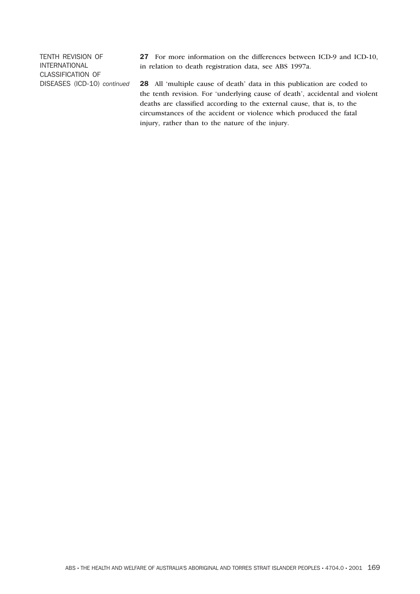TENTH REVISION OF INTERNATIONAL CLASSIFICATION OF DISEASES (ICD-10) *continued* 27 For more information on the differences between ICD-9 and ICD-10, in relation to death registration data, see ABS 1997a.

28 All 'multiple cause of death' data in this publication are coded to the tenth revision. For 'underlying cause of death', accidental and violent deaths are classified according to the external cause, that is, to the circumstances of the accident or violence which produced the fatal injury, rather than to the nature of the injury.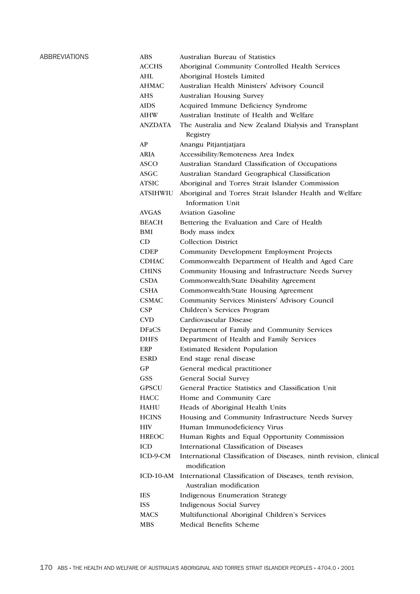## **ABBREVIATIONS**

| ABS             | Australian Bureau of Statistics                                                      |  |  |
|-----------------|--------------------------------------------------------------------------------------|--|--|
| <b>ACCHS</b>    | Aboriginal Community Controlled Health Services                                      |  |  |
| AHL             | Aboriginal Hostels Limited                                                           |  |  |
| <b>AHMAC</b>    | Australian Health Ministers' Advisory Council                                        |  |  |
| <b>AHS</b>      | Australian Housing Survey                                                            |  |  |
| <b>AIDS</b>     | Acquired Immune Deficiency Syndrome                                                  |  |  |
| <b>AIHW</b>     | Australian Institute of Health and Welfare                                           |  |  |
| <b>ANZDATA</b>  | The Australia and New Zealand Dialysis and Transplant                                |  |  |
|                 | Registry                                                                             |  |  |
| AP              | Anangu Pitjantjatjara                                                                |  |  |
| ARIA            | Accessibility/Remoteness Area Index                                                  |  |  |
| <b>ASCO</b>     | Australian Standard Classification of Occupations                                    |  |  |
| ASGC            | Australian Standard Geographical Classification                                      |  |  |
| <b>ATSIC</b>    | Aboriginal and Torres Strait Islander Commission                                     |  |  |
| <b>ATSIHWIU</b> | Aboriginal and Torres Strait Islander Health and Welfare                             |  |  |
|                 | <b>Information Unit</b>                                                              |  |  |
| <b>AVGAS</b>    | <b>Aviation Gasoline</b>                                                             |  |  |
| <b>BEACH</b>    | Bettering the Evaluation and Care of Health                                          |  |  |
| BMI             | Body mass index                                                                      |  |  |
| CD              | <b>Collection District</b>                                                           |  |  |
| <b>CDEP</b>     | <b>Community Development Employment Projects</b>                                     |  |  |
| <b>CDHAC</b>    | Commonwealth Department of Health and Aged Care                                      |  |  |
| <b>CHINS</b>    | Community Housing and Infrastructure Needs Survey                                    |  |  |
| <b>CSDA</b>     | Commonwealth/State Disability Agreement                                              |  |  |
| <b>CSHA</b>     | Commonwealth/State Housing Agreement                                                 |  |  |
| <b>CSMAC</b>    | Community Services Ministers' Advisory Council                                       |  |  |
| CSP             | Children's Services Program                                                          |  |  |
| <b>CVD</b>      | Cardiovascular Disease                                                               |  |  |
| <b>DFaCS</b>    | Department of Family and Community Services                                          |  |  |
| <b>DHFS</b>     | Department of Health and Family Services                                             |  |  |
| ERP             | <b>Estimated Resident Population</b>                                                 |  |  |
| <b>ESRD</b>     | End stage renal disease                                                              |  |  |
| GP              | General medical practitioner                                                         |  |  |
| <b>GSS</b>      | <b>General Social Survey</b>                                                         |  |  |
| <b>GPSCU</b>    | General Practice Statistics and Classification Unit                                  |  |  |
| <b>HACC</b>     | Home and Community Care                                                              |  |  |
| <b>HAHU</b>     | Heads of Aboriginal Health Units                                                     |  |  |
| <b>HCINS</b>    | Housing and Community Infrastructure Needs Survey                                    |  |  |
| <b>HIV</b>      | Human Immunodeficiency Virus                                                         |  |  |
| <b>HREOC</b>    | Human Rights and Equal Opportunity Commission                                        |  |  |
| <b>ICD</b>      | International Classification of Diseases                                             |  |  |
| ICD-9-CM        | International Classification of Diseases, ninth revision, clinical<br>modification   |  |  |
| $ICD-10-AM$     | International Classification of Diseases, tenth revision,<br>Australian modification |  |  |
| <b>IES</b>      | <b>Indigenous Enumeration Strategy</b>                                               |  |  |
| <b>ISS</b>      | Indigenous Social Survey                                                             |  |  |
| <b>MACS</b>     | Multifunctional Aboriginal Children's Services                                       |  |  |
| <b>MBS</b>      | Medical Benefits Scheme                                                              |  |  |
|                 |                                                                                      |  |  |